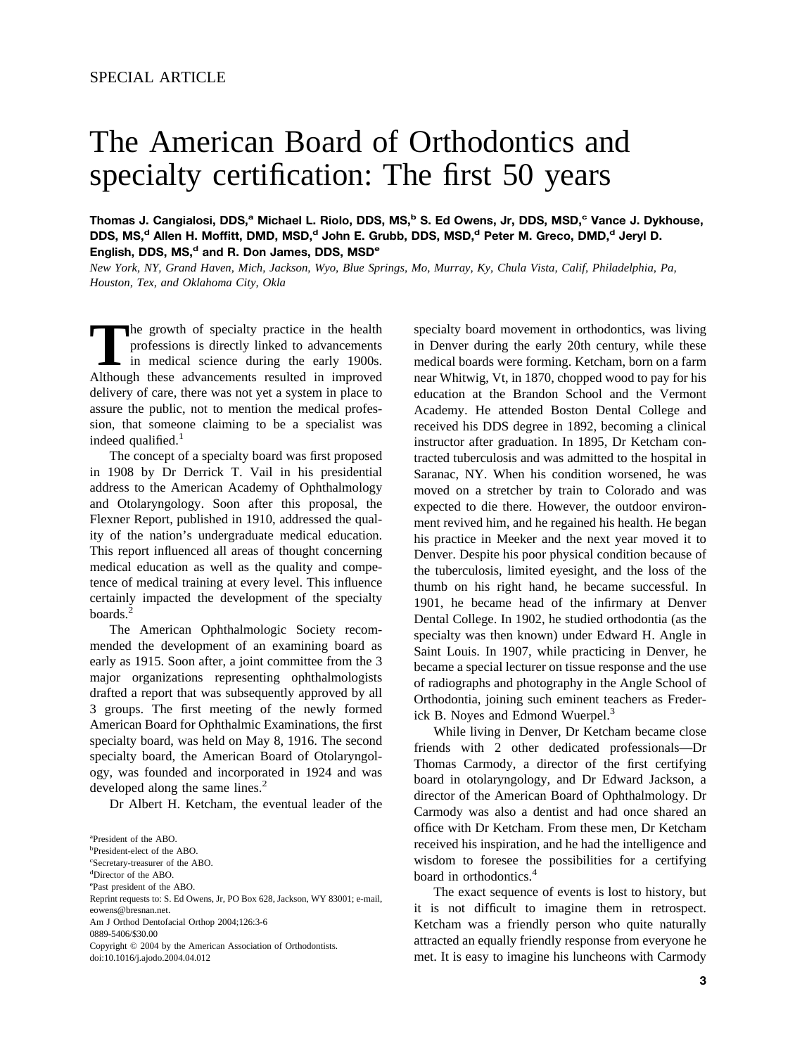## The American Board of Orthodontics and specialty certification: The first 50 years

**Thomas J. Cangialosi, DDS,a Michael L. Riolo, DDS, MS,b S. Ed Owens, Jr, DDS, MSD,c Vance J. Dykhouse,** DDS, MS,<sup>d</sup> Allen H. Moffitt, DMD, MSD,<sup>d</sup> John E. Grubb, DDS, MSD,<sup>d</sup> Peter M. Greco, DMD,<sup>d</sup> Jeryl D. English, DDS, MS,<sup>d</sup> and R. Don James, DDS, MSD<sup>e</sup>

*New York, NY, Grand Haven, Mich, Jackson, Wyo, Blue Springs, Mo, Murray, Ky, Chula Vista, Calif, Philadelphia, Pa, Houston, Tex, and Oklahoma City, Okla*

The growth of specialty practice in the health<br>professions is directly linked to advancements<br>in medical science during the early 1900s.<br>Although these advancements resulted in improved professions is directly linked to advancements in medical science during the early 1900s. Although these advancements resulted in improved delivery of care, there was not yet a system in place to assure the public, not to mention the medical profession, that someone claiming to be a specialist was indeed qualified. $<sup>1</sup>$ </sup>

The concept of a specialty board was first proposed in 1908 by Dr Derrick T. Vail in his presidential address to the American Academy of Ophthalmology and Otolaryngology. Soon after this proposal, the Flexner Report, published in 1910, addressed the quality of the nation's undergraduate medical education. This report influenced all areas of thought concerning medical education as well as the quality and competence of medical training at every level. This influence certainly impacted the development of the specialty boards.<sup>2</sup>

The American Ophthalmologic Society recommended the development of an examining board as early as 1915. Soon after, a joint committee from the 3 major organizations representing ophthalmologists drafted a report that was subsequently approved by all 3 groups. The first meeting of the newly formed American Board for Ophthalmic Examinations, the first specialty board, was held on May 8, 1916. The second specialty board, the American Board of Otolaryngology, was founded and incorporated in 1924 and was developed along the same lines.<sup>2</sup>

Dr Albert H. Ketcham, the eventual leader of the

Copyright © 2004 by the American Association of Orthodontists. doi:10.1016/j.ajodo.2004.04.012

specialty board movement in orthodontics, was living in Denver during the early 20th century, while these medical boards were forming. Ketcham, born on a farm near Whitwig, Vt, in 1870, chopped wood to pay for his education at the Brandon School and the Vermont Academy. He attended Boston Dental College and received his DDS degree in 1892, becoming a clinical instructor after graduation. In 1895, Dr Ketcham contracted tuberculosis and was admitted to the hospital in Saranac, NY. When his condition worsened, he was moved on a stretcher by train to Colorado and was expected to die there. However, the outdoor environment revived him, and he regained his health. He began his practice in Meeker and the next year moved it to Denver. Despite his poor physical condition because of the tuberculosis, limited eyesight, and the loss of the thumb on his right hand, he became successful. In 1901, he became head of the infirmary at Denver Dental College. In 1902, he studied orthodontia (as the specialty was then known) under Edward H. Angle in Saint Louis. In 1907, while practicing in Denver, he became a special lecturer on tissue response and the use of radiographs and photography in the Angle School of Orthodontia, joining such eminent teachers as Frederick B. Noyes and Edmond Wuerpel.<sup>3</sup>

While living in Denver, Dr Ketcham became close friends with 2 other dedicated professionals—Dr Thomas Carmody, a director of the first certifying board in otolaryngology, and Dr Edward Jackson, a director of the American Board of Ophthalmology. Dr Carmody was also a dentist and had once shared an office with Dr Ketcham. From these men, Dr Ketcham received his inspiration, and he had the intelligence and wisdom to foresee the possibilities for a certifying board in orthodontics[.4](#page-3-0)

The exact sequence of events is lost to history, but it is not difficult to imagine them in retrospect. Ketcham was a friendly person who quite naturally attracted an equally friendly response from everyone he met. It is easy to imagine his luncheons with Carmody

a President of the ABO.

b President-elect of the ABO.

c Secretary-treasurer of the ABO.

d Director of the ABO.

e Past president of the ABO.

Reprint requests to: S. Ed Owens, Jr, PO Box 628, Jackson, WY 83001; e-mail, eowens@bresnan.net

Am J Orthod Dentofacial Orthop 2004;126:3-6

<sup>0889-5406/\$30.00</sup>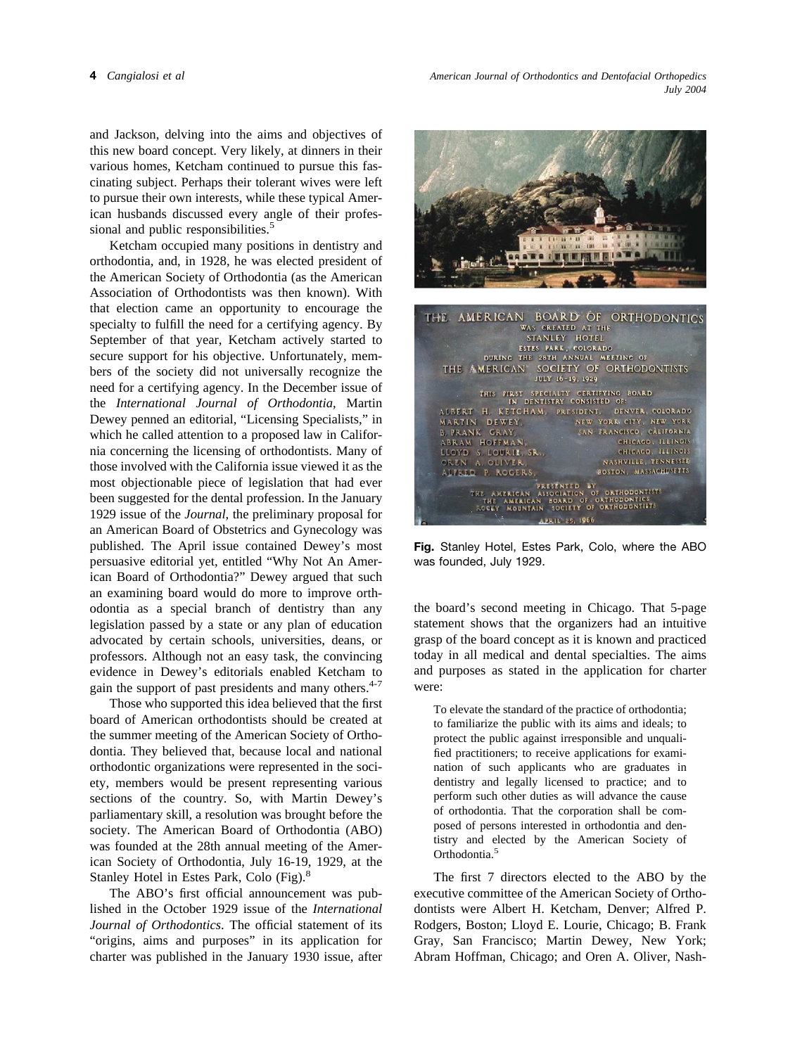and Jackson, delving into the aims and objectives of this new board concept. Very likely, at dinners in their various homes, Ketcham continued to pursue this fascinating subject. Perhaps their tolerant wives were left to pursue their own interests, while these typical American husbands discussed every angle of their professional and public responsibilities.<sup>5</sup>

Ketcham occupied many positions in dentistry and orthodontia, and, in 1928, he was elected president of the American Society of Orthodontia (as the American Association of Orthodontists was then known). With that election came an opportunity to encourage the specialty to fulfill the need for a certifying agency. By September of that year, Ketcham actively started to secure support for his objective. Unfortunately, members of the society did not universally recognize the need for a certifying agency. In the December issue of the *International Journal of Orthodontia*, Martin Dewey penned an editorial, "Licensing Specialists," in which he called attention to a proposed law in California concerning the licensing of orthodontists. Many of those involved with the California issue viewed it as the most objectionable piece of legislation that had ever been suggested for the dental profession. In the January 1929 issue of the *Journal*, the preliminary proposal for an American Board of Obstetrics and Gynecology was published. The April issue contained Dewey's most persuasive editorial yet, entitled "Why Not An American Board of Orthodontia?" Dewey argued that such an examining board would do more to improve orthodontia as a special branch of dentistry than any legislation passed by a state or any plan of education advocated by certain schools, universities, deans, or professors. Although not an easy task, the convincing evidence in Dewey's editorials enabled Ketcham to gain the support of past presidents and many others.<sup>4-7</sup>

Those who supported this idea believed that the first board of American orthodontists should be created at the summer meeting of the American Society of Orthodontia. They believed that, because local and national orthodontic organizations were represented in the society, members would be present representing various sections of the country. So, with Martin Dewey's parliamentary skill, a resolution was brought before the society. The American Board of Orthodontia (ABO) was founded at the 28th annual meeting of the American Society of Orthodontia, July 16-19, 1929, at the Stanley Hotel in Estes Park, Colo (Fig).<sup>8</sup>

The ABO's first official announcement was published in the October 1929 issue of the *International Journal of Orthodontics*. The official statement of its "origins, aims and purposes" in its application for charter was published in the January 1930 issue, after



**Fig.** Stanley Hotel, Estes Park, Colo, where the ABO was founded, July 1929.

the board's second meeting in Chicago. That 5-page statement shows that the organizers had an intuitive grasp of the board concept as it is known and practiced today in all medical and dental specialties. The aims and purposes as stated in the application for charter were:

To elevate the standard of the practice of orthodontia; to familiarize the public with its aims and ideals; to protect the public against irresponsible and unqualified practitioners; to receive applications for examination of such applicants who are graduates in dentistry and legally licensed to practice; and to perform such other duties as will advance the cause of orthodontia. That the corporation shall be composed of persons interested in orthodontia and dentistry and elected by the American Society of Orthodontia[.5](#page-3-0)

The first 7 directors elected to the ABO by the executive committee of the American Society of Orthodontists were Albert H. Ketcham, Denver; Alfred P. Rodgers, Boston; Lloyd E. Lourie, Chicago; B. Frank Gray, San Francisco; Martin Dewey, New York; Abram Hoffman, Chicago; and Oren A. Oliver, Nash-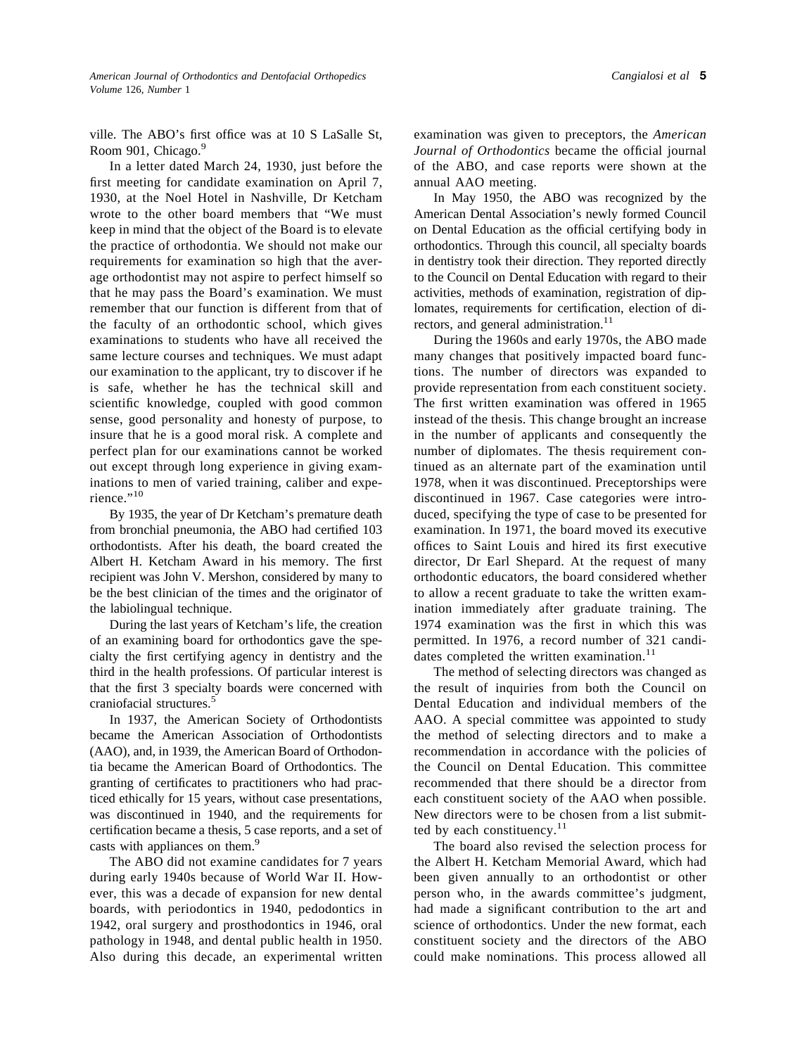*Cangialosi et al* **5**

ville. The ABO's first office was at 10 S LaSalle St, Room 901, Chicago.<sup>9</sup>

In a letter dated March 24, 1930, just before the first meeting for candidate examination on April 7, 1930, at the Noel Hotel in Nashville, Dr Ketcham wrote to the other board members that "We must keep in mind that the object of the Board is to elevate the practice of orthodontia. We should not make our requirements for examination so high that the average orthodontist may not aspire to perfect himself so that he may pass the Board's examination. We must remember that our function is different from that of the faculty of an orthodontic school, which gives examinations to students who have all received the same lecture courses and techniques. We must adapt our examination to the applicant, try to discover if he is safe, whether he has the technical skill and scientific knowledge, coupled with good common sense, good personality and honesty of purpose, to insure that he is a good moral risk. A complete and perfect plan for our examinations cannot be worked out except through long experience in giving examinations to men of varied training, caliber and expe-rience."[10](#page-3-0)

By 1935, the year of Dr Ketcham's premature death from bronchial pneumonia, the ABO had certified 103 orthodontists. After his death, the board created the Albert H. Ketcham Award in his memory. The first recipient was John V. Mershon, considered by many to be the best clinician of the time*s* and the originator of the labiolingual technique.

During the last years of Ketcham's life, the creation of an examining board for orthodontics gave the specialty the first certifying agency in dentistry and the third in the health professions. Of particular interest is that the first 3 specialty boards were concerned with craniofacial structures.<sup>5</sup>

In 1937, the American Society of Orthodontists became the American Association of Orthodontists (AAO), and, in 1939, the American Board of Orthodontia became the American Board of Orthodontics. The granting of certificates to practitioners who had practiced ethically for 15 years, without case presentations, was discontinued in 1940, and the requirements for certification became a thesis, 5 case reports, and a set of casts with appliances on them.<sup>9</sup>

The ABO did not examine candidates for 7 years during early 1940s because of World War II. However, this was a decade of expansion for new dental boards, with periodontics in 1940, pedodontics in 1942, oral surgery and prosthodontics in 1946, oral pathology in 1948, and dental public health in 1950. Also during this decade, an experimental written examination was given to preceptors, the *American Journal of Orthodontics* became the official journal of the ABO, and case reports were shown at the annual AAO meeting.

In May 1950, the ABO was recognized by the American Dental Association's newly formed Council on Dental Education as the official certifying body in orthodontics. Through this council, all specialty boards in dentistry took their direction. They reported directly to the Council on Dental Education with regard to their activities, methods of examination, registration of diplomates, requirements for certification, election of directors, and general administration.<sup>11</sup>

During the 1960s and early 1970s, the ABO made many changes that positively impacted board functions. The number of directors was expanded to provide representation from each constituent society. The first written examination was offered in 1965 instead of the thesis. This change brought an increase in the number of applicants and consequently the number of diplomates. The thesis requirement continued as an alternate part of the examination until 1978, when it was discontinued. Preceptorships were discontinued in 1967. Case categories were introduced, specifying the type of case to be presented for examination. In 1971, the board moved its executive offices to Saint Louis and hired its first executive director, Dr Earl Shepard. At the request of many orthodontic educators, the board considered whether to allow a recent graduate to take the written examination immediately after graduate training. The 1974 examination was the first in which this was permitted. In 1976, a record number of 321 candi-dates completed the written examination.<sup>[11](#page-3-0)</sup>

The method of selecting directors was changed as the result of inquiries from both the Council on Dental Education and individual members of the AAO. A special committee was appointed to study the method of selecting directors and to make a recommendation in accordance with the policies of the Council on Dental Education. This committee recommended that there should be a director from each constituent society of the AAO when possible. New directors were to be chosen from a list submitted by each constituency. $11$ 

The board also revised the selection process for the Albert H. Ketcham Memorial Award, which had been given annually to an orthodontist or other person who, in the awards committee's judgment, had made a significant contribution to the art and science of orthodontics. Under the new format, each constituent society and the directors of the ABO could make nominations. This process allowed all